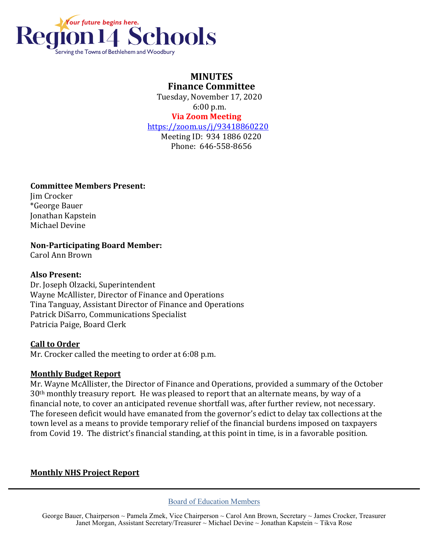

## **MINUTES Finance Committee**

 Tuesday, November 17, 2020 6:00 p.m.  **Via Zoom Meeting**

# <https://zoom.us/j/93418860220>

Meeting ID: 934 1886 0220 Phone: 646-558-8656

#### **Committee Members Present:**

Jim Crocker \*George Bauer Jonathan Kapstein Michael Devine

#### **Non-Participating Board Member:**

Carol Ann Brown

### **Also Present:**

Dr. Joseph Olzacki, Superintendent Wayne McAllister, Director of Finance and Operations Tina Tanguay, Assistant Director of Finance and Operations Patrick DiSarro, Communications Specialist Patricia Paige, Board Clerk

#### **Call to Order**

Mr. Crocker called the meeting to order at 6:08 p.m.

#### **Monthly Budget Report**

Mr. Wayne McAllister, the Director of Finance and Operations, provided a summary of the October 30th monthly treasury report. He was pleased to report that an alternate means, by way of a financial note, to cover an anticipated revenue shortfall was, after further review, not necessary. The foreseen deficit would have emanated from the governor's edict to delay tax collections at the town level as a means to provide temporary relief of the financial burdens imposed on taxpayers from Covid 19. The district's financial standing, at this point in time, is in a favorable position.

#### **Monthly NHS Project Report**

Board of Education Members

George Bauer, Chairperson ~ Pamela Zmek, Vice Chairperson ~ Carol Ann Brown, Secretary ~ James Crocker, Treasurer Janet Morgan, Assistant Secretary/Treasurer ~ Michael Devine ~ Jonathan Kapstein ~ Tikva Rose